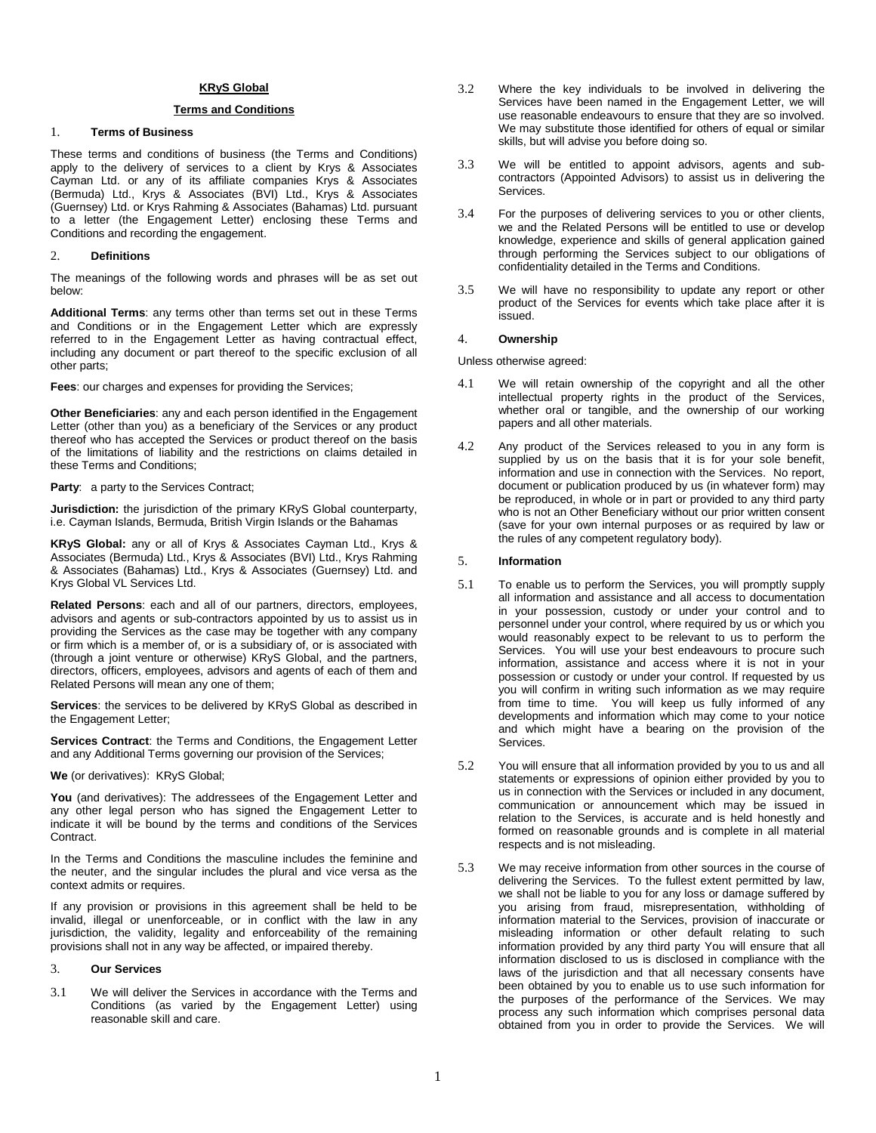## **KRyS Global**

# **Terms and Conditions**

# 1. **Terms of Business**

These terms and conditions of business (the Terms and Conditions) apply to the delivery of services to a client by Krys & Associates Cayman Ltd. or any of its affiliate companies Krys & Associates (Bermuda) Ltd., Krys & Associates (BVI) Ltd., Krys & Associates (Guernsey) Ltd. or Krys Rahming & Associates (Bahamas) Ltd. pursuant to a letter (the Engagement Letter) enclosing these Terms and Conditions and recording the engagement.

#### 2. **Definitions**

The meanings of the following words and phrases will be as set out below:

**Additional Terms**: any terms other than terms set out in these Terms and Conditions or in the Engagement Letter which are expressly referred to in the Engagement Letter as having contractual effect, including any document or part thereof to the specific exclusion of all other parts;

**Fees**: our charges and expenses for providing the Services;

**Other Beneficiaries**: any and each person identified in the Engagement Letter (other than you) as a beneficiary of the Services or any product thereof who has accepted the Services or product thereof on the basis of the limitations of liability and the restrictions on claims detailed in these Terms and Conditions;

**Party**: a party to the Services Contract;

**Jurisdiction:** the jurisdiction of the primary KRyS Global counterparty, i.e. Cayman Islands, Bermuda, British Virgin Islands or the Bahamas

**KRyS Global:** any or all of Krys & Associates Cayman Ltd., Krys & Associates (Bermuda) Ltd., Krys & Associates (BVI) Ltd., Krys Rahming & Associates (Bahamas) Ltd., Krys & Associates (Guernsey) Ltd. and Krys Global VL Services Ltd.

**Related Persons**: each and all of our partners, directors, employees, advisors and agents or sub-contractors appointed by us to assist us in providing the Services as the case may be together with any company or firm which is a member of, or is a subsidiary of, or is associated with (through a joint venture or otherwise) KRyS Global, and the partners, directors, officers, employees, advisors and agents of each of them and Related Persons will mean any one of them;

**Services**: the services to be delivered by KRyS Global as described in the Engagement Letter;

**Services Contract:** the Terms and Conditions, the Engagement Letter and any Additional Terms governing our provision of the Services;

**We** (or derivatives): KRyS Global;

You (and derivatives): The addressees of the Engagement Letter and any other legal person who has signed the Engagement Letter to indicate it will be bound by the terms and conditions of the Services Contract.

In the Terms and Conditions the masculine includes the feminine and the neuter, and the singular includes the plural and vice versa as the context admits or requires.

If any provision or provisions in this agreement shall be held to be invalid, illegal or unenforceable, or in conflict with the law in any jurisdiction, the validity, legality and enforceability of the remaining provisions shall not in any way be affected, or impaired thereby.

## 3. **Our Services**

3.1 We will deliver the Services in accordance with the Terms and Conditions (as varied by the Engagement Letter) using reasonable skill and care.

- 3.2 Where the key individuals to be involved in delivering the Services have been named in the Engagement Letter, we will use reasonable endeavours to ensure that they are so involved. We may substitute those identified for others of equal or similar skills, but will advise you before doing so.
- 3.3 We will be entitled to appoint advisors, agents and subcontractors (Appointed Advisors) to assist us in delivering the Services.
- 3.4 For the purposes of delivering services to you or other clients, we and the Related Persons will be entitled to use or develop knowledge, experience and skills of general application gained through performing the Services subject to our obligations of confidentiality detailed in the Terms and Conditions.
- 3.5 We will have no responsibility to update any report or other product of the Services for events which take place after it is issued.

#### 4. **Ownership**

Unless otherwise agreed:

- 4.1 We will retain ownership of the copyright and all the other intellectual property rights in the product of the Services, whether oral or tangible, and the ownership of our working papers and all other materials.
- 4.2 Any product of the Services released to you in any form is supplied by us on the basis that it is for your sole benefit, information and use in connection with the Services. No report, document or publication produced by us (in whatever form) may be reproduced, in whole or in part or provided to any third party who is not an Other Beneficiary without our prior written consent (save for your own internal purposes or as required by law or the rules of any competent regulatory body).

#### 5. **Information**

- 5.1 To enable us to perform the Services, you will promptly supply all information and assistance and all access to documentation in your possession, custody or under your control and to personnel under your control, where required by us or which you would reasonably expect to be relevant to us to perform the Services. You will use your best endeavours to procure such information, assistance and access where it is not in your possession or custody or under your control. If requested by us you will confirm in writing such information as we may require from time to time. You will keep us fully informed of any developments and information which may come to your notice and which might have a bearing on the provision of the Services.
- 5.2 You will ensure that all information provided by you to us and all statements or expressions of opinion either provided by you to us in connection with the Services or included in any document, communication or announcement which may be issued in relation to the Services, is accurate and is held honestly and formed on reasonable grounds and is complete in all material respects and is not misleading.
- 5.3 We may receive information from other sources in the course of delivering the Services. To the fullest extent permitted by law, we shall not be liable to you for any loss or damage suffered by you arising from fraud, misrepresentation, withholding of information material to the Services, provision of inaccurate or misleading information or other default relating to such information provided by any third party You will ensure that all information disclosed to us is disclosed in compliance with the laws of the jurisdiction and that all necessary consents have been obtained by you to enable us to use such information for the purposes of the performance of the Services. We may process any such information which comprises personal data obtained from you in order to provide the Services. We will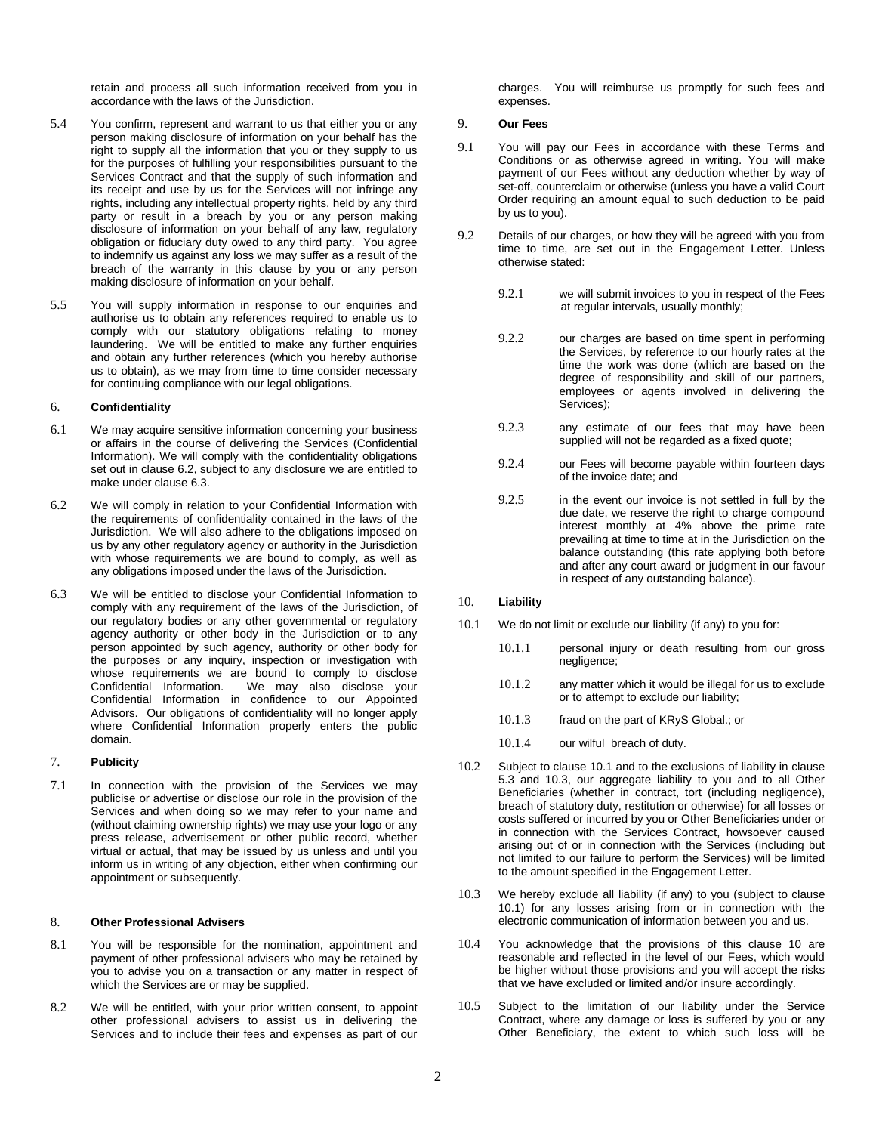retain and process all such information received from you in accordance with the laws of the Jurisdiction.

- 5.4 You confirm, represent and warrant to us that either you or any person making disclosure of information on your behalf has the right to supply all the information that you or they supply to us for the purposes of fulfilling your responsibilities pursuant to the Services Contract and that the supply of such information and its receipt and use by us for the Services will not infringe any rights, including any intellectual property rights, held by any third party or result in a breach by you or any person making disclosure of information on your behalf of any law, regulatory obligation or fiduciary duty owed to any third party. You agree to indemnify us against any loss we may suffer as a result of the breach of the warranty in this clause by you or any person making disclosure of information on your behalf.
- 5.5 You will supply information in response to our enquiries and authorise us to obtain any references required to enable us to comply with our statutory obligations relating to money laundering. We will be entitled to make any further enquiries and obtain any further references (which you hereby authorise us to obtain), as we may from time to time consider necessary for continuing compliance with our legal obligations.

## 6. **Confidentiality**

- 6.1 We may acquire sensitive information concerning your business or affairs in the course of delivering the Services (Confidential Information). We will comply with the confidentiality obligations set out in clause 6.2, subject to any disclosure we are entitled to make under clause 6.3.
- 6.2 We will comply in relation to your Confidential Information with the requirements of confidentiality contained in the laws of the Jurisdiction. We will also adhere to the obligations imposed on us by any other regulatory agency or authority in the Jurisdiction with whose requirements we are bound to comply, as well as any obligations imposed under the laws of the Jurisdiction.
- 6.3 We will be entitled to disclose your Confidential Information to comply with any requirement of the laws of the Jurisdiction, of our regulatory bodies or any other governmental or regulatory agency authority or other body in the Jurisdiction or to any person appointed by such agency, authority or other body for the purposes or any inquiry, inspection or investigation with whose requirements we are bound to comply to disclose<br>Confidential Information. We may also disclose your We may also disclose your Confidential Information in confidence to our Appointed Advisors. Our obligations of confidentiality will no longer apply where Confidential Information properly enters the public domain.

## 7. **Publicity**

7.1 In connection with the provision of the Services we may publicise or advertise or disclose our role in the provision of the Services and when doing so we may refer to your name and (without claiming ownership rights) we may use your logo or any press release, advertisement or other public record, whether virtual or actual, that may be issued by us unless and until you inform us in writing of any objection, either when confirming our appointment or subsequently.

## 8. **Other Professional Advisers**

- 8.1 You will be responsible for the nomination, appointment and payment of other professional advisers who may be retained by you to advise you on a transaction or any matter in respect of which the Services are or may be supplied.
- 8.2 We will be entitled, with your prior written consent, to appoint other professional advisers to assist us in delivering the Services and to include their fees and expenses as part of our

charges. You will reimburse us promptly for such fees and expenses.

## 9. **Our Fees**

- 9.1 You will pay our Fees in accordance with these Terms and Conditions or as otherwise agreed in writing. You will make payment of our Fees without any deduction whether by way of set-off, counterclaim or otherwise (unless you have a valid Court Order requiring an amount equal to such deduction to be paid by us to you).
- 9.2 Details of our charges, or how they will be agreed with you from time to time, are set out in the Engagement Letter. Unless otherwise stated:
	- 9.2.1 we will submit invoices to you in respect of the Fees at regular intervals, usually monthly;
	- 9.2.2 our charges are based on time spent in performing the Services, by reference to our hourly rates at the time the work was done (which are based on the degree of responsibility and skill of our partners, employees or agents involved in delivering the Services);
	- 9.2.3 any estimate of our fees that may have been supplied will not be regarded as a fixed quote;
	- 9.2.4 our Fees will become payable within fourteen days of the invoice date; and
	- 9.2.5 in the event our invoice is not settled in full by the due date, we reserve the right to charge compound interest monthly at 4% above the prime rate prevailing at time to time at in the Jurisdiction on the balance outstanding (this rate applying both before and after any court award or judgment in our favour in respect of any outstanding balance).

## 10. **Liability**

- 10.1 We do not limit or exclude our liability (if any) to you for:
	- 10.1.1 personal injury or death resulting from our gross negligence;
	- 10.1.2 any matter which it would be illegal for us to exclude or to attempt to exclude our liability;
	- 10.1.3 fraud on the part of KRyS Global.; or
	- 10.1.4 our wilful breach of duty.
- 10.2 Subject to clause 10.1 and to the exclusions of liability in clause 5.3 and 10.3, our aggregate liability to you and to all Other Beneficiaries (whether in contract, tort (including negligence), breach of statutory duty, restitution or otherwise) for all losses or costs suffered or incurred by you or Other Beneficiaries under or in connection with the Services Contract, howsoever caused arising out of or in connection with the Services (including but not limited to our failure to perform the Services) will be limited to the amount specified in the Engagement Letter.
- 10.3 We hereby exclude all liability (if any) to you (subject to clause 10.1) for any losses arising from or in connection with the electronic communication of information between you and us.
- 10.4 You acknowledge that the provisions of this clause 10 are reasonable and reflected in the level of our Fees, which would be higher without those provisions and you will accept the risks that we have excluded or limited and/or insure accordingly.
- 10.5 Subject to the limitation of our liability under the Service Contract, where any damage or loss is suffered by you or any Other Beneficiary, the extent to which such loss will be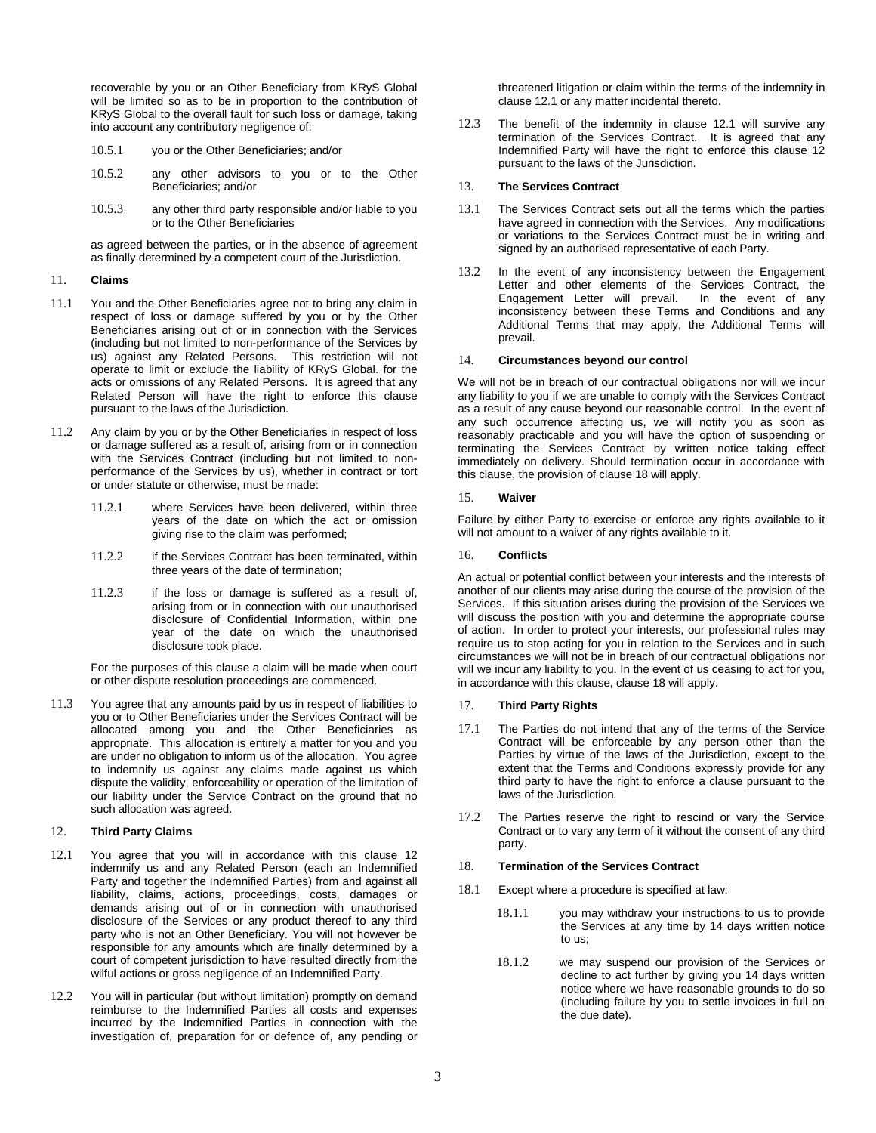recoverable by you or an Other Beneficiary from KRyS Global will be limited so as to be in proportion to the contribution of KRyS Global to the overall fault for such loss or damage, taking into account any contributory negligence of:

- 10.5.1 you or the Other Beneficiaries; and/or
- 10.5.2 any other advisors to you or to the Other Beneficiaries; and/or
- 10.5.3 any other third party responsible and/or liable to you or to the Other Beneficiaries

as agreed between the parties, or in the absence of agreement as finally determined by a competent court of the Jurisdiction.

#### 11. **Claims**

- 11.1 You and the Other Beneficiaries agree not to bring any claim in respect of loss or damage suffered by you or by the Other Beneficiaries arising out of or in connection with the Services (including but not limited to non-performance of the Services by us) against any Related Persons. This restriction will not operate to limit or exclude the liability of KRyS Global. for the acts or omissions of any Related Persons. It is agreed that any Related Person will have the right to enforce this clause pursuant to the laws of the Jurisdiction.
- 11.2 Any claim by you or by the Other Beneficiaries in respect of loss or damage suffered as a result of, arising from or in connection with the Services Contract (including but not limited to nonperformance of the Services by us), whether in contract or tort or under statute or otherwise, must be made:
	- 11.2.1 where Services have been delivered, within three years of the date on which the act or omission giving rise to the claim was performed;
	- 11.2.2 if the Services Contract has been terminated, within three years of the date of termination;
	- 11.2.3 if the loss or damage is suffered as a result of, arising from or in connection with our unauthorised disclosure of Confidential Information, within one year of the date on which the unauthorised disclosure took place.

For the purposes of this clause a claim will be made when court or other dispute resolution proceedings are commenced.

11.3 You agree that any amounts paid by us in respect of liabilities to you or to Other Beneficiaries under the Services Contract will be allocated among you and the Other Beneficiaries as appropriate. This allocation is entirely a matter for you and you are under no obligation to inform us of the allocation. You agree to indemnify us against any claims made against us which dispute the validity, enforceability or operation of the limitation of our liability under the Service Contract on the ground that no such allocation was agreed.

## 12. **Third Party Claims**

- 12.1 You agree that you will in accordance with this clause 12 indemnify us and any Related Person (each an Indemnified Party and together the Indemnified Parties) from and against all liability, claims, actions, proceedings, costs, damages or demands arising out of or in connection with unauthorised disclosure of the Services or any product thereof to any third party who is not an Other Beneficiary. You will not however be responsible for any amounts which are finally determined by a court of competent jurisdiction to have resulted directly from the wilful actions or gross negligence of an Indemnified Party.
- 12.2 You will in particular (but without limitation) promptly on demand reimburse to the Indemnified Parties all costs and expenses incurred by the Indemnified Parties in connection with the investigation of, preparation for or defence of, any pending or

threatened litigation or claim within the terms of the indemnity in clause 12.1 or any matter incidental thereto.

12.3 The benefit of the indemnity in clause 12.1 will survive any termination of the Services Contract. It is agreed that any Indemnified Party will have the right to enforce this clause 12 pursuant to the laws of the Jurisdiction.

## 13. **The Services Contract**

- 13.1 The Services Contract sets out all the terms which the parties have agreed in connection with the Services. Any modifications or variations to the Services Contract must be in writing and signed by an authorised representative of each Party.
- 13.2 In the event of any inconsistency between the Engagement Letter and other elements of the Services Contract, the Engagement Letter will prevail. In the event of any inconsistency between these Terms and Conditions and any Additional Terms that may apply, the Additional Terms will prevail.

## 14. **Circumstances beyond our control**

We will not be in breach of our contractual obligations nor will we incur any liability to you if we are unable to comply with the Services Contract as a result of any cause beyond our reasonable control. In the event of any such occurrence affecting us, we will notify you as soon as reasonably practicable and you will have the option of suspending or terminating the Services Contract by written notice taking effect immediately on delivery. Should termination occur in accordance with this clause, the provision of clause 18 will apply.

## 15. **Waiver**

Failure by either Party to exercise or enforce any rights available to it will not amount to a waiver of any rights available to it.

## 16. **Conflicts**

An actual or potential conflict between your interests and the interests of another of our clients may arise during the course of the provision of the Services. If this situation arises during the provision of the Services we will discuss the position with you and determine the appropriate course of action. In order to protect your interests, our professional rules may require us to stop acting for you in relation to the Services and in such circumstances we will not be in breach of our contractual obligations nor will we incur any liability to you. In the event of us ceasing to act for you, in accordance with this clause, clause 18 will apply.

## 17. **Third Party Rights**

- 17.1 The Parties do not intend that any of the terms of the Service Contract will be enforceable by any person other than the Parties by virtue of the laws of the Jurisdiction, except to the extent that the Terms and Conditions expressly provide for any third party to have the right to enforce a clause pursuant to the laws of the Jurisdiction.
- 17.2 The Parties reserve the right to rescind or vary the Service Contract or to vary any term of it without the consent of any third party.

## 18. **Termination of the Services Contract**

- 18.1 Except where a procedure is specified at law:
	- 18.1.1 you may withdraw your instructions to us to provide the Services at any time by 14 days written notice to us;
	- 18.1.2 we may suspend our provision of the Services or decline to act further by giving you 14 days written notice where we have reasonable grounds to do so (including failure by you to settle invoices in full on the due date).